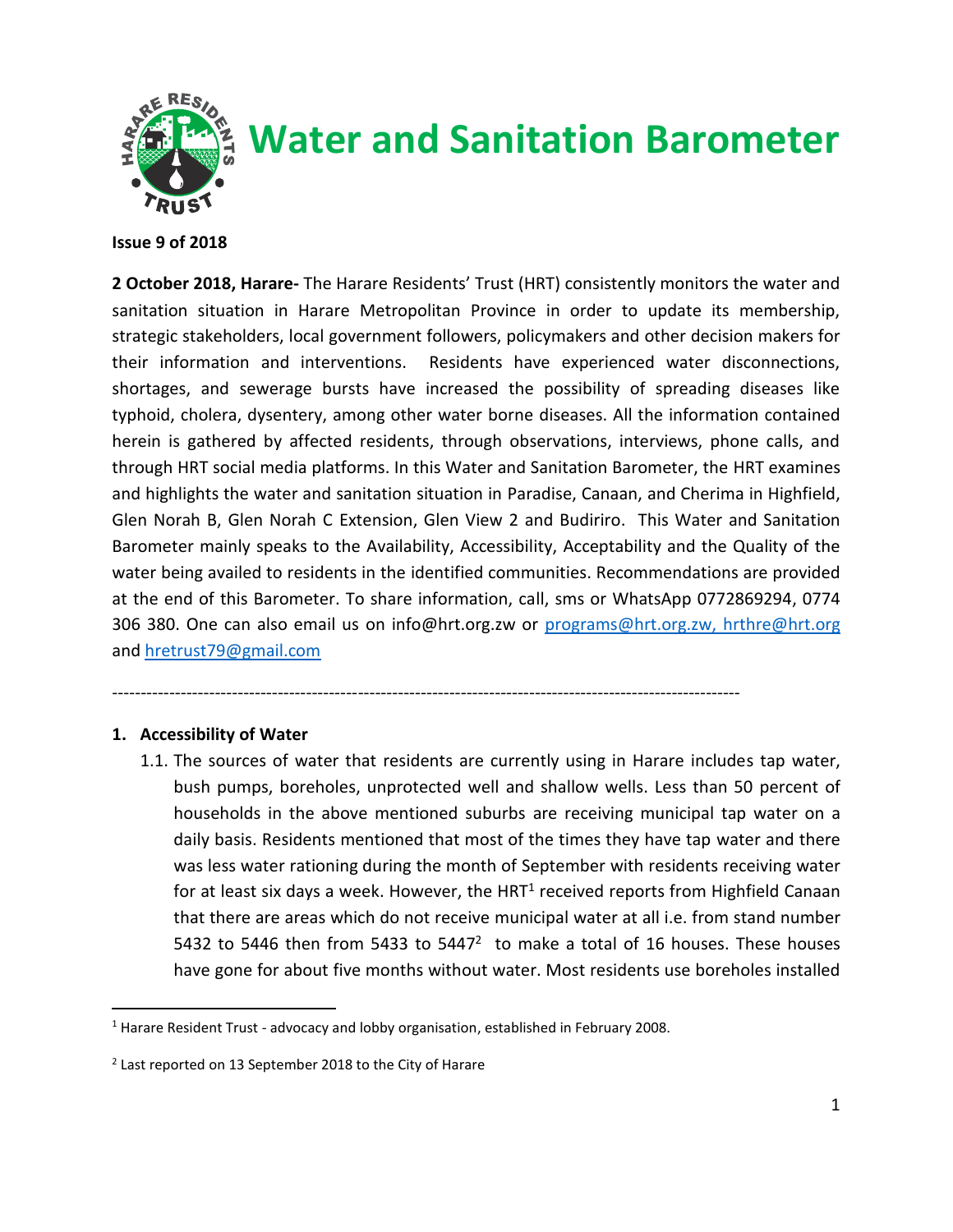

# **Water and Sanitation Barometer**

#### **Issue 9 of 2018**

**2 October 2018, Harare-** The Harare Residents' Trust (HRT) consistently monitors the water and sanitation situation in Harare Metropolitan Province in order to update its membership, strategic stakeholders, local government followers, policymakers and other decision makers for their information and interventions. Residents have experienced water disconnections, shortages, and sewerage bursts have increased the possibility of spreading diseases like typhoid, cholera, dysentery, among other water borne diseases. All the information contained herein is gathered by affected residents, through observations, interviews, phone calls, and through HRT social media platforms. In this Water and Sanitation Barometer, the HRT examines and highlights the water and sanitation situation in Paradise, Canaan, and Cherima in Highfield, Glen Norah B, Glen Norah C Extension, Glen View 2 and Budiriro. This Water and Sanitation Barometer mainly speaks to the Availability, Accessibility, Acceptability and the Quality of the water being availed to residents in the identified communities. Recommendations are provided at the end of this Barometer. To share information, call, sms or WhatsApp 0772869294, 0774 306 380. One can also email us on info@hrt.org.zw or [programs@hrt.org.zw, hrthre@hrt.org](mailto:programs@hrt.org.zw,) and [hretrust79@gmail.com](mailto:hretrust79@gmail.com)

## --------------------------------------------------------------------------------------------------------------

### **1. Accessibility of Water**

 $\overline{a}$ 

1.1. The sources of water that residents are currently using in Harare includes tap water, bush pumps, boreholes, unprotected well and shallow wells. Less than 50 percent of households in the above mentioned suburbs are receiving municipal tap water on a daily basis. Residents mentioned that most of the times they have tap water and there was less water rationing during the month of September with residents receiving water for at least six days a week. However, the HRT<sup>1</sup> received reports from Highfield Canaan that there are areas which do not receive municipal water at all i.e. from stand number 5432 to 5446 then from 5433 to 5447 $2$  to make a total of 16 houses. These houses have gone for about five months without water. Most residents use boreholes installed

<sup>&</sup>lt;sup>1</sup> Harare Resident Trust - advocacy and lobby organisation, established in February 2008.

<sup>&</sup>lt;sup>2</sup> Last reported on 13 September 2018 to the City of Harare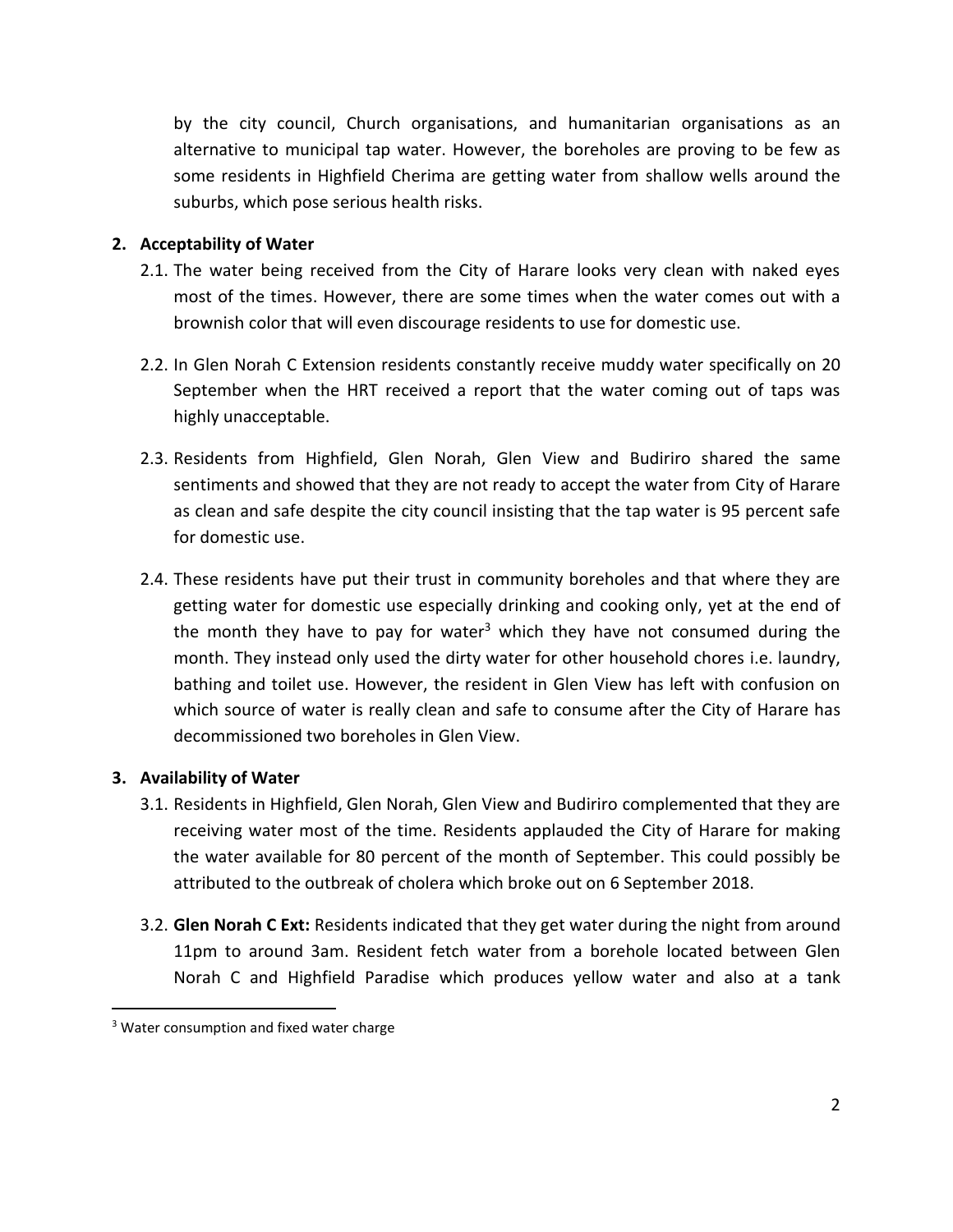by the city council, Church organisations, and humanitarian organisations as an alternative to municipal tap water. However, the boreholes are proving to be few as some residents in Highfield Cherima are getting water from shallow wells around the suburbs, which pose serious health risks.

#### **2. Acceptability of Water**

- 2.1. The water being received from the City of Harare looks very clean with naked eyes most of the times. However, there are some times when the water comes out with a brownish color that will even discourage residents to use for domestic use.
- 2.2. In Glen Norah C Extension residents constantly receive muddy water specifically on 20 September when the HRT received a report that the water coming out of taps was highly unacceptable.
- 2.3. Residents from Highfield, Glen Norah, Glen View and Budiriro shared the same sentiments and showed that they are not ready to accept the water from City of Harare as clean and safe despite the city council insisting that the tap water is 95 percent safe for domestic use.
- 2.4. These residents have put their trust in community boreholes and that where they are getting water for domestic use especially drinking and cooking only, yet at the end of the month they have to pay for water<sup>3</sup> which they have not consumed during the month. They instead only used the dirty water for other household chores i.e. laundry, bathing and toilet use. However, the resident in Glen View has left with confusion on which source of water is really clean and safe to consume after the City of Harare has decommissioned two boreholes in Glen View.

### **3. Availability of Water**

 $\overline{a}$ 

- 3.1. Residents in Highfield, Glen Norah, Glen View and Budiriro complemented that they are receiving water most of the time. Residents applauded the City of Harare for making the water available for 80 percent of the month of September. This could possibly be attributed to the outbreak of cholera which broke out on 6 September 2018.
- 3.2. **Glen Norah C Ext:** Residents indicated that they get water during the night from around 11pm to around 3am. Resident fetch water from a borehole located between Glen Norah C and Highfield Paradise which produces yellow water and also at a tank

<sup>&</sup>lt;sup>3</sup> Water consumption and fixed water charge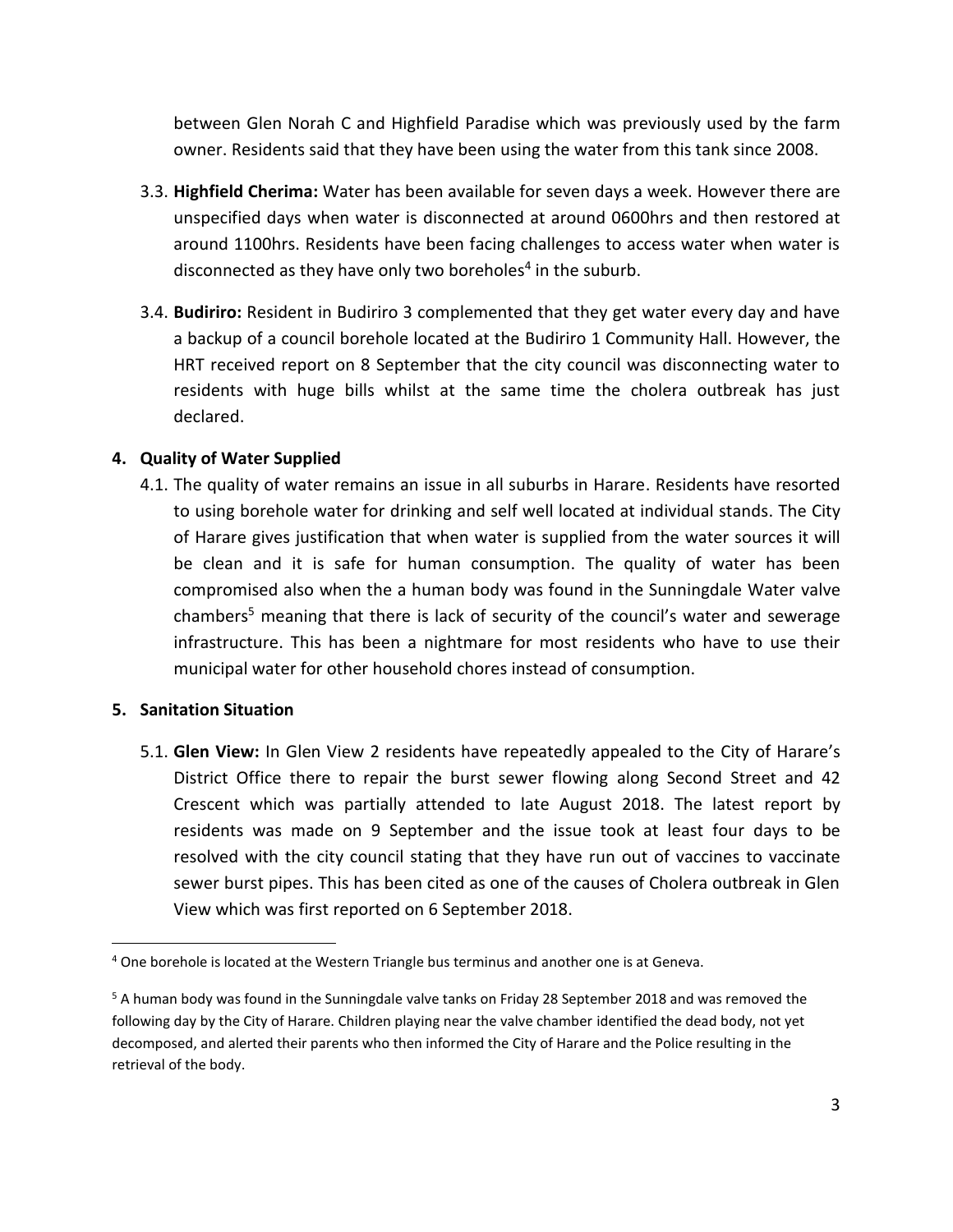between Glen Norah C and Highfield Paradise which was previously used by the farm owner. Residents said that they have been using the water from this tank since 2008.

- 3.3. **Highfield Cherima:** Water has been available for seven days a week. However there are unspecified days when water is disconnected at around 0600hrs and then restored at around 1100hrs. Residents have been facing challenges to access water when water is disconnected as they have only two boreholes<sup>4</sup> in the suburb.
- 3.4. **Budiriro:** Resident in Budiriro 3 complemented that they get water every day and have a backup of a council borehole located at the Budiriro 1 Community Hall. However, the HRT received report on 8 September that the city council was disconnecting water to residents with huge bills whilst at the same time the cholera outbreak has just declared.

## **4. Quality of Water Supplied**

4.1. The quality of water remains an issue in all suburbs in Harare. Residents have resorted to using borehole water for drinking and self well located at individual stands. The City of Harare gives justification that when water is supplied from the water sources it will be clean and it is safe for human consumption. The quality of water has been compromised also when the a human body was found in the Sunningdale Water valve chambers<sup>5</sup> meaning that there is lack of security of the council's water and sewerage infrastructure. This has been a nightmare for most residents who have to use their municipal water for other household chores instead of consumption.

### **5. Sanitation Situation**

 $\overline{a}$ 

5.1. **Glen View:** In Glen View 2 residents have repeatedly appealed to the City of Harare's District Office there to repair the burst sewer flowing along Second Street and 42 Crescent which was partially attended to late August 2018. The latest report by residents was made on 9 September and the issue took at least four days to be resolved with the city council stating that they have run out of vaccines to vaccinate sewer burst pipes. This has been cited as one of the causes of Cholera outbreak in Glen View which was first reported on 6 September 2018.

<sup>4</sup> One borehole is located at the Western Triangle bus terminus and another one is at Geneva.

<sup>&</sup>lt;sup>5</sup> A human body was found in the Sunningdale valve tanks on Friday 28 September 2018 and was removed the following day by the City of Harare. Children playing near the valve chamber identified the dead body, not yet decomposed, and alerted their parents who then informed the City of Harare and the Police resulting in the retrieval of the body.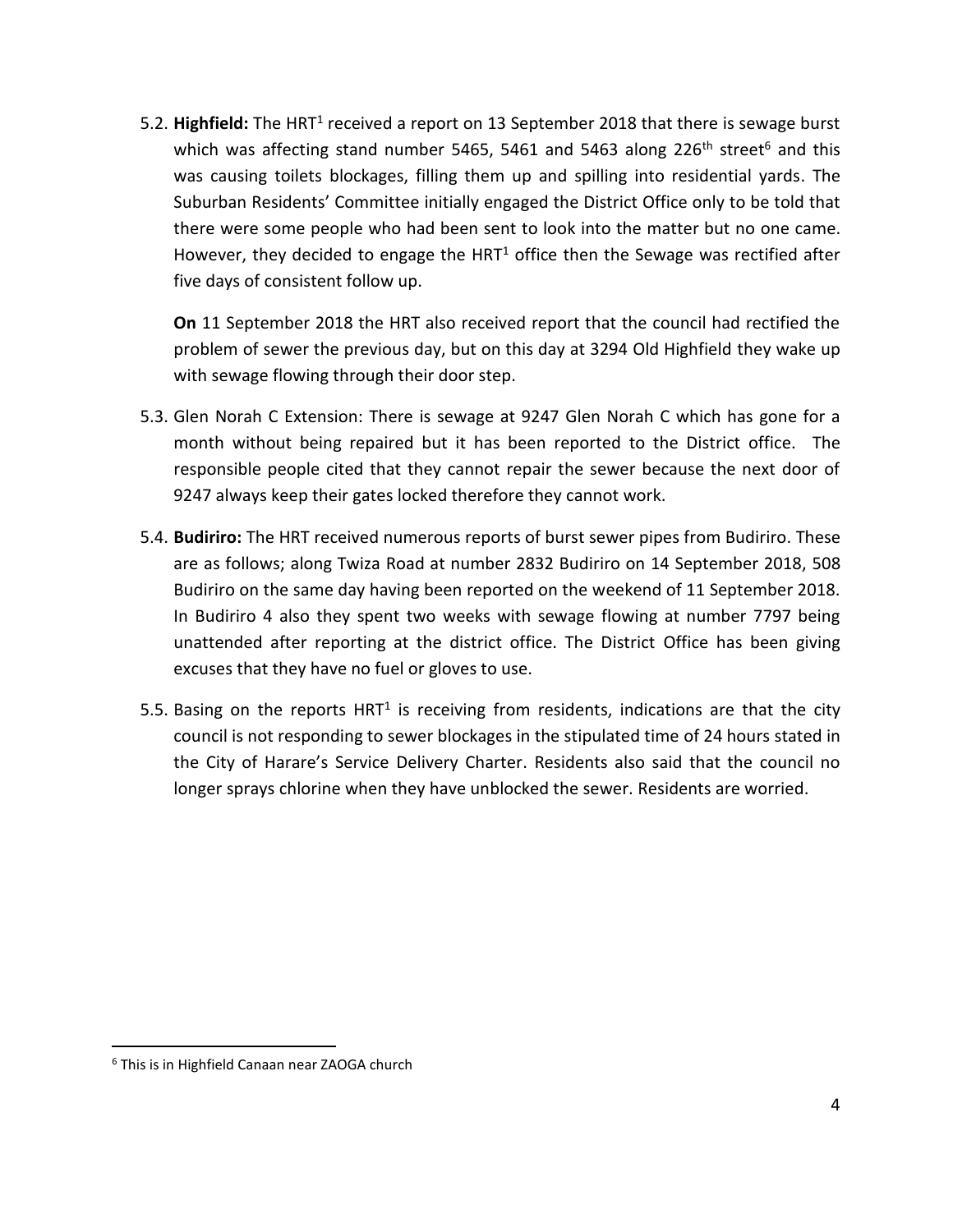5.2. Highfield: The HRT<sup>1</sup> received a report on 13 September 2018 that there is sewage burst which was affecting stand number 5465, 5461 and 5463 along 226<sup>th</sup> street<sup>6</sup> and this was causing toilets blockages, filling them up and spilling into residential yards. The Suburban Residents' Committee initially engaged the District Office only to be told that there were some people who had been sent to look into the matter but no one came. However, they decided to engage the HRT $1$  office then the Sewage was rectified after five days of consistent follow up.

**On** 11 September 2018 the HRT also received report that the council had rectified the problem of sewer the previous day, but on this day at 3294 Old Highfield they wake up with sewage flowing through their door step.

- 5.3. Glen Norah C Extension: There is sewage at 9247 Glen Norah C which has gone for a month without being repaired but it has been reported to the District office. The responsible people cited that they cannot repair the sewer because the next door of 9247 always keep their gates locked therefore they cannot work.
- 5.4. **Budiriro:** The HRT received numerous reports of burst sewer pipes from Budiriro. These are as follows; along Twiza Road at number 2832 Budiriro on 14 September 2018, 508 Budiriro on the same day having been reported on the weekend of 11 September 2018. In Budiriro 4 also they spent two weeks with sewage flowing at number 7797 being unattended after reporting at the district office. The District Office has been giving excuses that they have no fuel or gloves to use.
- 5.5. Basing on the reports HRT<sup>1</sup> is receiving from residents, indications are that the city council is not responding to sewer blockages in the stipulated time of 24 hours stated in the City of Harare's Service Delivery Charter. Residents also said that the council no longer sprays chlorine when they have unblocked the sewer. Residents are worried.

 $\overline{a}$ 

<sup>6</sup> This is in Highfield Canaan near ZAOGA church